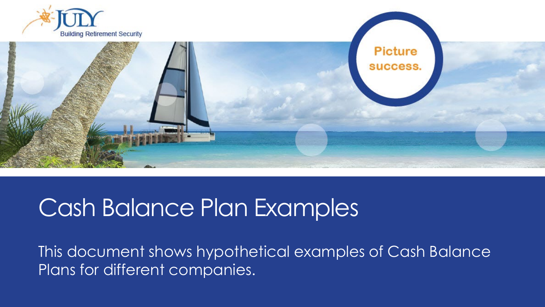

This document shows hypothetical examples of Cash Balance Plans for different companies.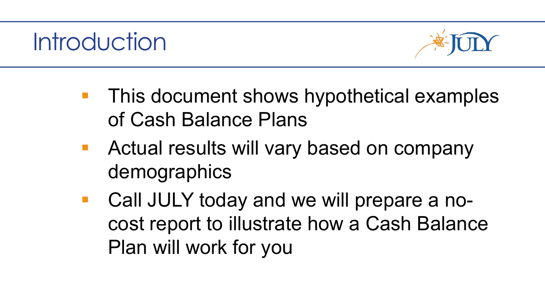### **Introduction**



- **This document shows hypothetical examples** of Cash Balance Plans
- **Actual results will vary based on company** demographics
- Call JULY today and we will prepare a nocost report to illustrate how a Cash Balance Plan will work for you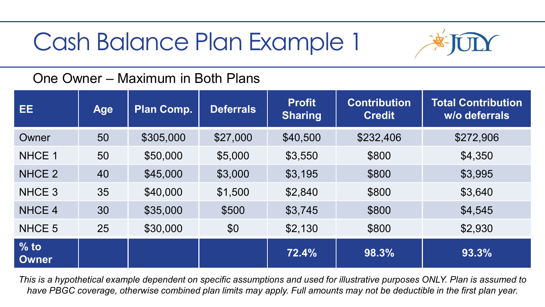

#### One Owner – Maximum in Both Plans

| EE.                    | <b>Age</b> | <b>Plan Comp.</b> | <b>Deferrals</b> | <b>Profit</b><br><b>Sharing</b> | <b>Contribution</b><br><b>Credit</b> | <b>Total Contribution</b><br>w/o deferrals |
|------------------------|------------|-------------------|------------------|---------------------------------|--------------------------------------|--------------------------------------------|
| Owner                  | 50         | \$305,000         | \$27,000         | \$40,500                        | \$232,406                            | \$272,906                                  |
| NHCE 1                 | 50         | \$50,000          | \$5,000          | \$3,550                         | \$800                                | \$4,350                                    |
| NHCE <sub>2</sub>      | 40         | \$45,000          | \$3,000          | \$3,195                         | \$800                                | \$3,995                                    |
| NHCE <sub>3</sub>      | 35         | \$40,000          | \$1,500          | \$2,840                         | \$800                                | \$3,640                                    |
| NHCE 4                 | 30         | \$35,000          | \$500            | \$3,745                         | \$800                                | \$4,545                                    |
| NHCE 5                 | 25         | \$30,000          | \$0              | \$2,130                         | \$800                                | \$2,930                                    |
| $%$ to<br><b>Owner</b> |            |                   |                  | 72.4%                           | 98.3%                                | 93.3%                                      |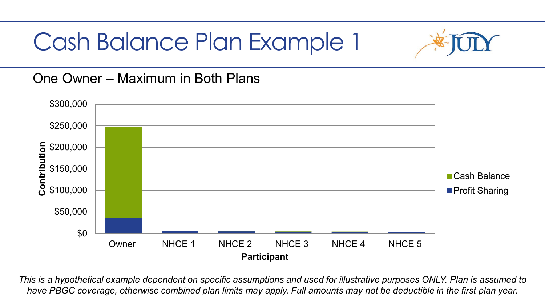

One Owner – Maximum in Both Plans

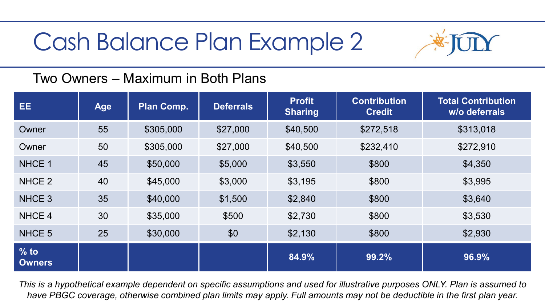

#### Two Owners – Maximum in Both Plans

| EE.                     | <b>Age</b> | <b>Plan Comp.</b> | <b>Deferrals</b> | <b>Profit</b><br><b>Sharing</b> | <b>Contribution</b><br><b>Credit</b> | <b>Total Contribution</b><br>w/o deferrals |
|-------------------------|------------|-------------------|------------------|---------------------------------|--------------------------------------|--------------------------------------------|
| Owner                   | 55         | \$305,000         | \$27,000         | \$40,500                        | \$272,518                            | \$313,018                                  |
| Owner                   | 50         | \$305,000         | \$27,000         | \$40,500                        | \$232,410                            | \$272,910                                  |
| NHCE 1                  | 45         | \$50,000          | \$5,000          | \$3,550                         | \$800                                | \$4,350                                    |
| NHCE <sub>2</sub>       | 40         | \$45,000          | \$3,000          | \$3,195                         | \$800                                | \$3,995                                    |
| NHCE <sub>3</sub>       | 35         | \$40,000          | \$1,500          | \$2,840                         | \$800                                | \$3,640                                    |
| NHCE 4                  | 30         | \$35,000          | \$500            | \$2,730                         | \$800                                | \$3,530                                    |
| NHCE <sub>5</sub>       | 25         | \$30,000          | \$0              | \$2,130                         | \$800                                | \$2,930                                    |
| $%$ to<br><b>Owners</b> |            |                   |                  | 84.9%                           | 99.2%                                | 96.9%                                      |